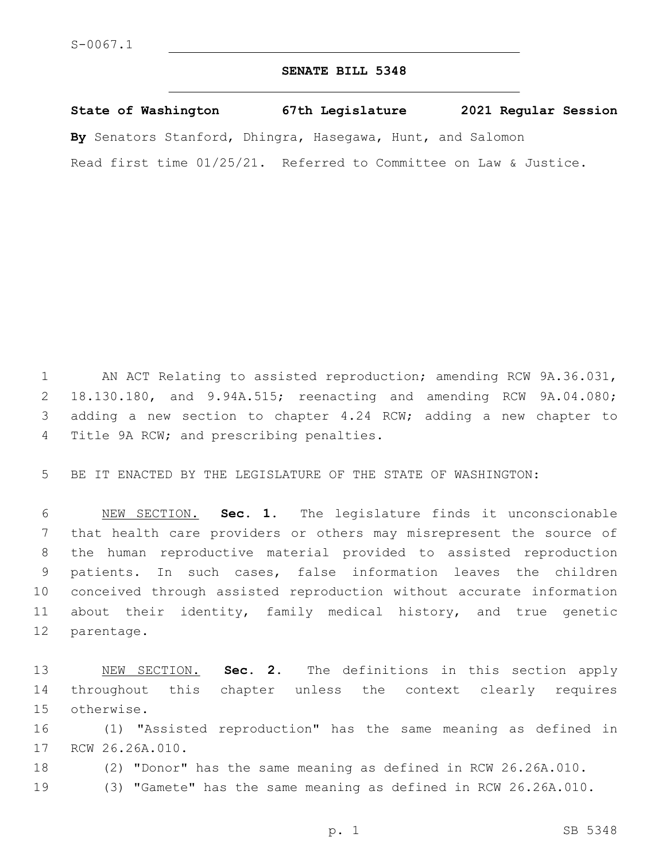## **SENATE BILL 5348**

**State of Washington 67th Legislature 2021 Regular Session By** Senators Stanford, Dhingra, Hasegawa, Hunt, and Salomon Read first time 01/25/21. Referred to Committee on Law & Justice.

 AN ACT Relating to assisted reproduction; amending RCW 9A.36.031, 18.130.180, and 9.94A.515; reenacting and amending RCW 9A.04.080; adding a new section to chapter 4.24 RCW; adding a new chapter to 4 Title 9A RCW; and prescribing penalties.

BE IT ENACTED BY THE LEGISLATURE OF THE STATE OF WASHINGTON:

 NEW SECTION. **Sec. 1.** The legislature finds it unconscionable that health care providers or others may misrepresent the source of the human reproductive material provided to assisted reproduction patients. In such cases, false information leaves the children conceived through assisted reproduction without accurate information about their identity, family medical history, and true genetic parentage.

 NEW SECTION. **Sec. 2.** The definitions in this section apply throughout this chapter unless the context clearly requires otherwise.

 (1) "Assisted reproduction" has the same meaning as defined in 17 RCW 26.26A.010.

- (2) "Donor" has the same meaning as defined in RCW 26.26A.010.
- (3) "Gamete" has the same meaning as defined in RCW 26.26A.010.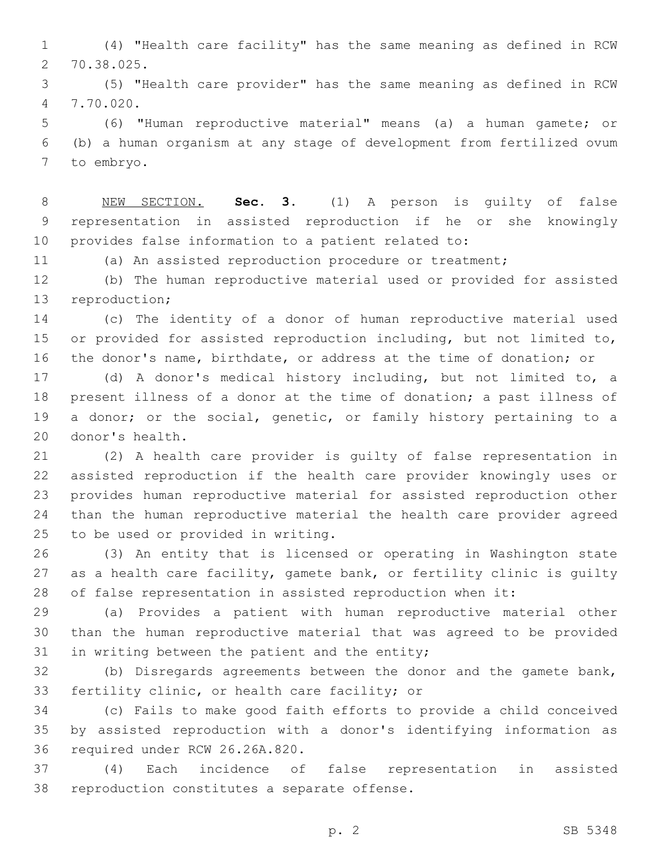(4) "Health care facility" has the same meaning as defined in RCW 70.38.025.2

 (5) "Health care provider" has the same meaning as defined in RCW 7.70.020.4

 (6) "Human reproductive material" means (a) a human gamete; or (b) a human organism at any stage of development from fertilized ovum 7 to embryo.

 NEW SECTION. **Sec. 3.** (1) A person is guilty of false representation in assisted reproduction if he or she knowingly provides false information to a patient related to:

(a) An assisted reproduction procedure or treatment;

 (b) The human reproductive material used or provided for assisted 13 reproduction;

 (c) The identity of a donor of human reproductive material used or provided for assisted reproduction including, but not limited to, the donor's name, birthdate, or address at the time of donation; or

 (d) A donor's medical history including, but not limited to, a present illness of a donor at the time of donation; a past illness of a donor; or the social, genetic, or family history pertaining to a 20 donor's health.

 (2) A health care provider is guilty of false representation in assisted reproduction if the health care provider knowingly uses or provides human reproductive material for assisted reproduction other than the human reproductive material the health care provider agreed 25 to be used or provided in writing.

 (3) An entity that is licensed or operating in Washington state 27 as a health care facility, gamete bank, or fertility clinic is guilty of false representation in assisted reproduction when it:

 (a) Provides a patient with human reproductive material other than the human reproductive material that was agreed to be provided 31 in writing between the patient and the entity;

 (b) Disregards agreements between the donor and the gamete bank, 33 fertility clinic, or health care facility; or

 (c) Fails to make good faith efforts to provide a child conceived by assisted reproduction with a donor's identifying information as 36 required under RCW 26.26A.820.

 (4) Each incidence of false representation in assisted 38 reproduction constitutes a separate offense.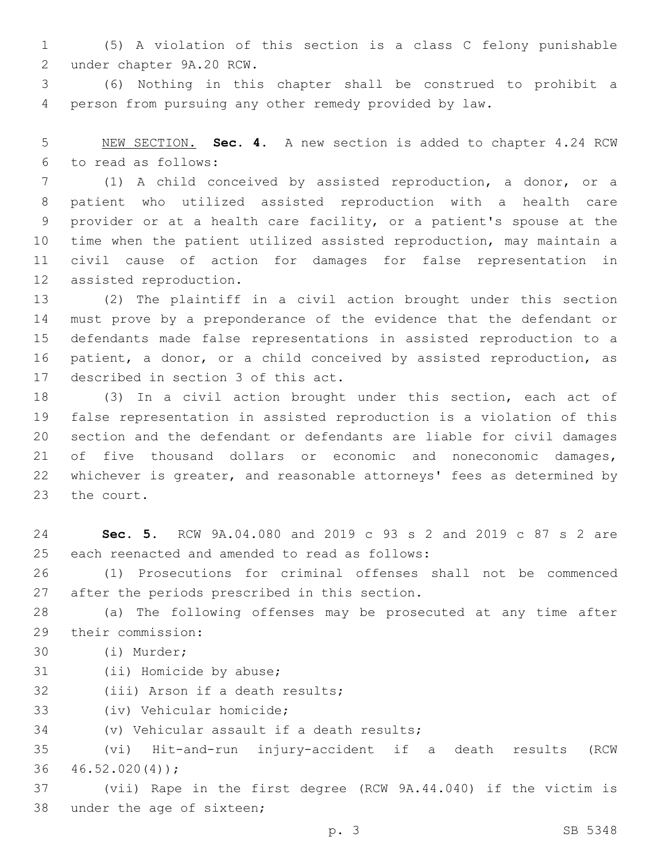1 (5) A violation of this section is a class C felony punishable under chapter 9A.20 RCW.2

3 (6) Nothing in this chapter shall be construed to prohibit a 4 person from pursuing any other remedy provided by law.

5 NEW SECTION. **Sec. 4.** A new section is added to chapter 4.24 RCW to read as follows:6

 (1) A child conceived by assisted reproduction, a donor, or a patient who utilized assisted reproduction with a health care provider or at a health care facility, or a patient's spouse at the time when the patient utilized assisted reproduction, may maintain a civil cause of action for damages for false representation in 12 assisted reproduction.

 (2) The plaintiff in a civil action brought under this section must prove by a preponderance of the evidence that the defendant or defendants made false representations in assisted reproduction to a patient, a donor, or a child conceived by assisted reproduction, as 17 described in section 3 of this act.

 (3) In a civil action brought under this section, each act of false representation in assisted reproduction is a violation of this section and the defendant or defendants are liable for civil damages of five thousand dollars or economic and noneconomic damages, whichever is greater, and reasonable attorneys' fees as determined by 23 the court.

24 **Sec. 5.** RCW 9A.04.080 and 2019 c 93 s 2 and 2019 c 87 s 2 are 25 each reenacted and amended to read as follows:

26 (1) Prosecutions for criminal offenses shall not be commenced 27 after the periods prescribed in this section.

28 (a) The following offenses may be prosecuted at any time after 29 their commission:

- (i) Murder;30
- 31 (ii) Homicide by abuse;
- 32 (iii) Arson if a death results;

33 (iv) Vehicular homicide;

34 (v) Vehicular assault if a death results;

35 (vi) Hit-and-run injury-accident if a death results (RCW  $36 \quad 46.52.020(4))$ ;

37 (vii) Rape in the first degree (RCW 9A.44.040) if the victim is 38 under the age of sixteen;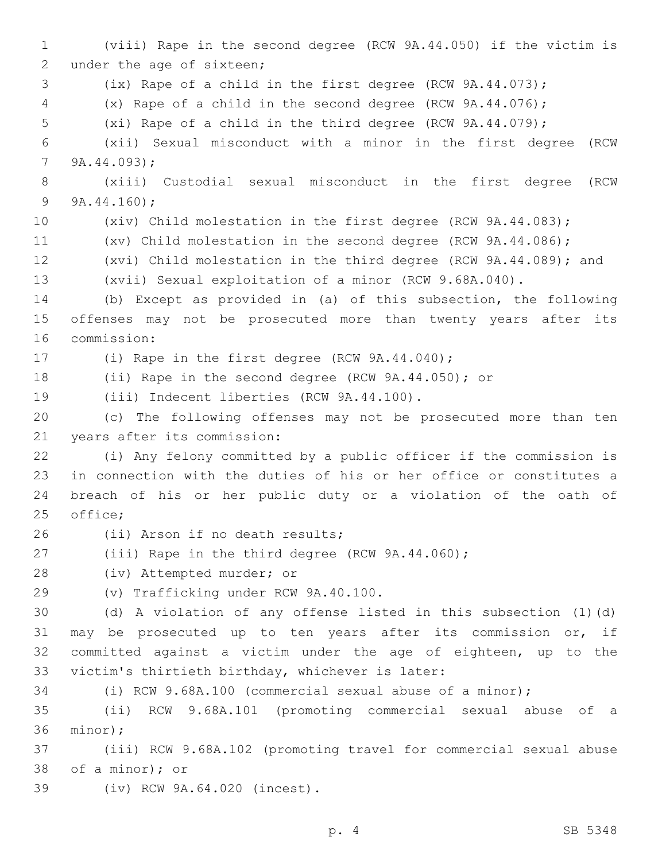(viii) Rape in the second degree (RCW 9A.44.050) if the victim is 2 under the age of sixteen; (ix) Rape of a child in the first degree (RCW 9A.44.073); (x) Rape of a child in the second degree (RCW 9A.44.076); (xi) Rape of a child in the third degree (RCW 9A.44.079); (xii) Sexual misconduct with a minor in the first degree (RCW  $7, 9A.44.093$ ; (xiii) Custodial sexual misconduct in the first degree (RCW  $9A.44.160$ ; (xiv) Child molestation in the first degree (RCW 9A.44.083); (xv) Child molestation in the second degree (RCW 9A.44.086); (xvi) Child molestation in the third degree (RCW 9A.44.089); and (xvii) Sexual exploitation of a minor (RCW 9.68A.040). (b) Except as provided in (a) of this subsection, the following offenses may not be prosecuted more than twenty years after its 16 commission: 17 (i) Rape in the first degree (RCW 9A.44.040); (ii) Rape in the second degree (RCW 9A.44.050); or 19 (iii) Indecent liberties (RCW 9A.44.100). (c) The following offenses may not be prosecuted more than ten 21 years after its commission: (i) Any felony committed by a public officer if the commission is in connection with the duties of his or her office or constitutes a breach of his or her public duty or a violation of the oath of 25 office; 26 (ii) Arson if no death results; (iii) Rape in the third degree (RCW 9A.44.060); 28 (iv) Attempted murder; or (v) Trafficking under RCW 9A.40.100.29 (d) A violation of any offense listed in this subsection (1)(d) may be prosecuted up to ten years after its commission or, if committed against a victim under the age of eighteen, up to the 33 victim's thirtieth birthday, whichever is later: (i) RCW 9.68A.100 (commercial sexual abuse of a minor); (ii) RCW 9.68A.101 (promoting commercial sexual abuse of a 36 minor); (iii) RCW 9.68A.102 (promoting travel for commercial sexual abuse 38 of a minor); or (iv) RCW 9A.64.020 (incest).39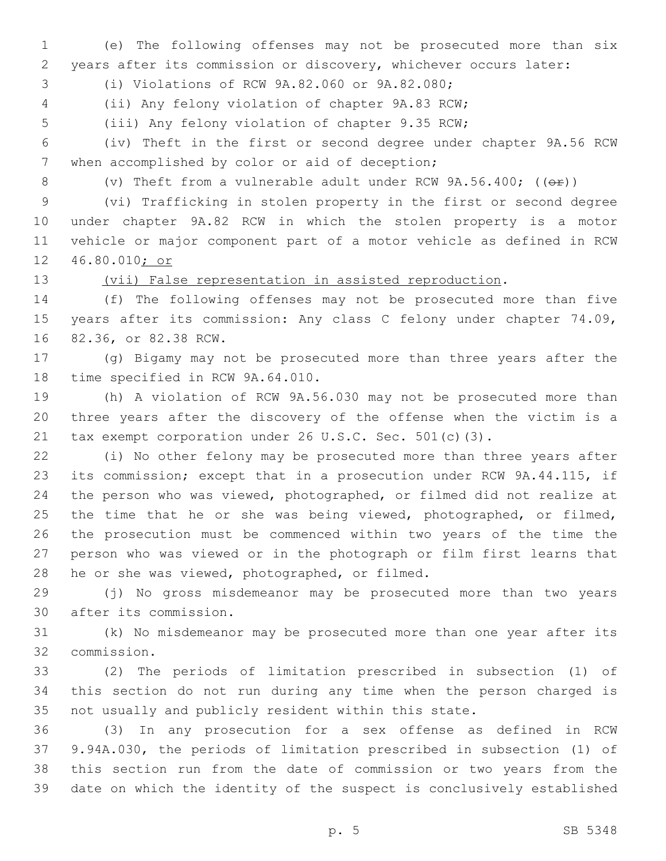(e) The following offenses may not be prosecuted more than six years after its commission or discovery, whichever occurs later:

(i) Violations of RCW 9A.82.060 or 9A.82.080;3

(ii) Any felony violation of chapter 9A.83 RCW;

(iii) Any felony violation of chapter 9.35 RCW;

 (iv) Theft in the first or second degree under chapter 9A.56 RCW 7 when accomplished by color or aid of deception;

8 (v) Theft from a vulnerable adult under RCW 9A.56.400; (( $\Theta$ r))

 (vi) Trafficking in stolen property in the first or second degree under chapter 9A.82 RCW in which the stolen property is a motor vehicle or major component part of a motor vehicle as defined in RCW 46.80.010; or

## (vii) False representation in assisted reproduction.

 (f) The following offenses may not be prosecuted more than five 15 years after its commission: Any class C felony under chapter 74.09, 16 82.36, or 82.38 RCW.

 (g) Bigamy may not be prosecuted more than three years after the 18 time specified in RCW 9A.64.010.

 (h) A violation of RCW 9A.56.030 may not be prosecuted more than three years after the discovery of the offense when the victim is a tax exempt corporation under 26 U.S.C. Sec. 501(c)(3).

 (i) No other felony may be prosecuted more than three years after its commission; except that in a prosecution under RCW 9A.44.115, if the person who was viewed, photographed, or filmed did not realize at 25 the time that he or she was being viewed, photographed, or filmed, the prosecution must be commenced within two years of the time the person who was viewed or in the photograph or film first learns that 28 he or she was viewed, photographed, or filmed.

 (j) No gross misdemeanor may be prosecuted more than two years 30 after its commission.

 (k) No misdemeanor may be prosecuted more than one year after its commission.32

 (2) The periods of limitation prescribed in subsection (1) of this section do not run during any time when the person charged is not usually and publicly resident within this state.

 (3) In any prosecution for a sex offense as defined in RCW 9.94A.030, the periods of limitation prescribed in subsection (1) of this section run from the date of commission or two years from the date on which the identity of the suspect is conclusively established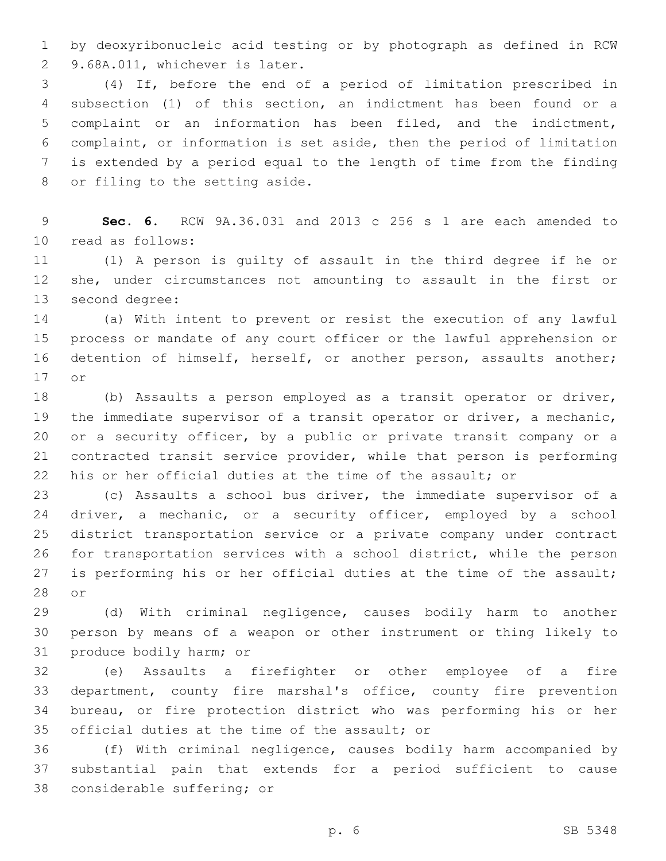by deoxyribonucleic acid testing or by photograph as defined in RCW 2 9.68A.011, whichever is later.

 (4) If, before the end of a period of limitation prescribed in subsection (1) of this section, an indictment has been found or a complaint or an information has been filed, and the indictment, complaint, or information is set aside, then the period of limitation is extended by a period equal to the length of time from the finding 8 or filing to the setting aside.

 **Sec. 6.** RCW 9A.36.031 and 2013 c 256 s 1 are each amended to read as follows:10

 (1) A person is guilty of assault in the third degree if he or she, under circumstances not amounting to assault in the first or 13 second degree:

 (a) With intent to prevent or resist the execution of any lawful process or mandate of any court officer or the lawful apprehension or detention of himself, herself, or another person, assaults another; 17 or

 (b) Assaults a person employed as a transit operator or driver, the immediate supervisor of a transit operator or driver, a mechanic, or a security officer, by a public or private transit company or a contracted transit service provider, while that person is performing his or her official duties at the time of the assault; or

 (c) Assaults a school bus driver, the immediate supervisor of a 24 driver, a mechanic, or a security officer, employed by a school district transportation service or a private company under contract for transportation services with a school district, while the person 27 is performing his or her official duties at the time of the assault; 28 or

 (d) With criminal negligence, causes bodily harm to another person by means of a weapon or other instrument or thing likely to 31 produce bodily harm; or

 (e) Assaults a firefighter or other employee of a fire department, county fire marshal's office, county fire prevention bureau, or fire protection district who was performing his or her 35 official duties at the time of the assault; or

 (f) With criminal negligence, causes bodily harm accompanied by substantial pain that extends for a period sufficient to cause 38 considerable suffering; or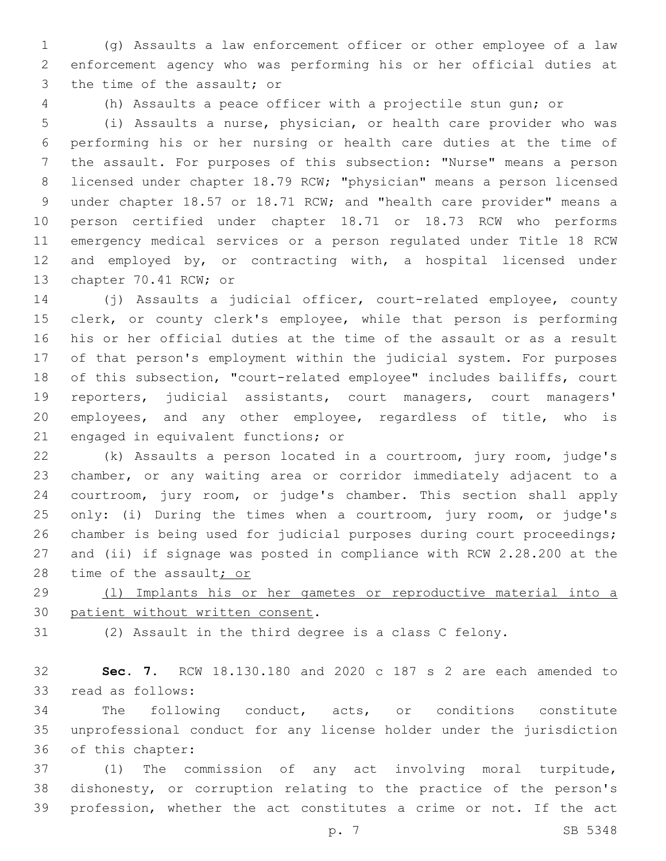(g) Assaults a law enforcement officer or other employee of a law enforcement agency who was performing his or her official duties at 3 the time of the assault; or

(h) Assaults a peace officer with a projectile stun gun; or

 (i) Assaults a nurse, physician, or health care provider who was performing his or her nursing or health care duties at the time of the assault. For purposes of this subsection: "Nurse" means a person licensed under chapter 18.79 RCW; "physician" means a person licensed under chapter 18.57 or 18.71 RCW; and "health care provider" means a person certified under chapter 18.71 or 18.73 RCW who performs emergency medical services or a person regulated under Title 18 RCW and employed by, or contracting with, a hospital licensed under 13 chapter 70.41 RCW; or

 (j) Assaults a judicial officer, court-related employee, county clerk, or county clerk's employee, while that person is performing his or her official duties at the time of the assault or as a result of that person's employment within the judicial system. For purposes of this subsection, "court-related employee" includes bailiffs, court reporters, judicial assistants, court managers, court managers' employees, and any other employee, regardless of title, who is 21 engaged in equivalent functions; or

 (k) Assaults a person located in a courtroom, jury room, judge's chamber, or any waiting area or corridor immediately adjacent to a courtroom, jury room, or judge's chamber. This section shall apply 25 only: (i) During the times when a courtroom, jury room, or judge's chamber is being used for judicial purposes during court proceedings; and (ii) if signage was posted in compliance with RCW 2.28.200 at the 28 time of the assault<sub>i or</sub>

 (l) Implants his or her gametes or reproductive material into a 30 patient without written consent.

(2) Assault in the third degree is a class C felony.

 **Sec. 7.** RCW 18.130.180 and 2020 c 187 s 2 are each amended to 33 read as follows:

 The following conduct, acts, or conditions constitute unprofessional conduct for any license holder under the jurisdiction 36 of this chapter:

 (1) The commission of any act involving moral turpitude, dishonesty, or corruption relating to the practice of the person's profession, whether the act constitutes a crime or not. If the act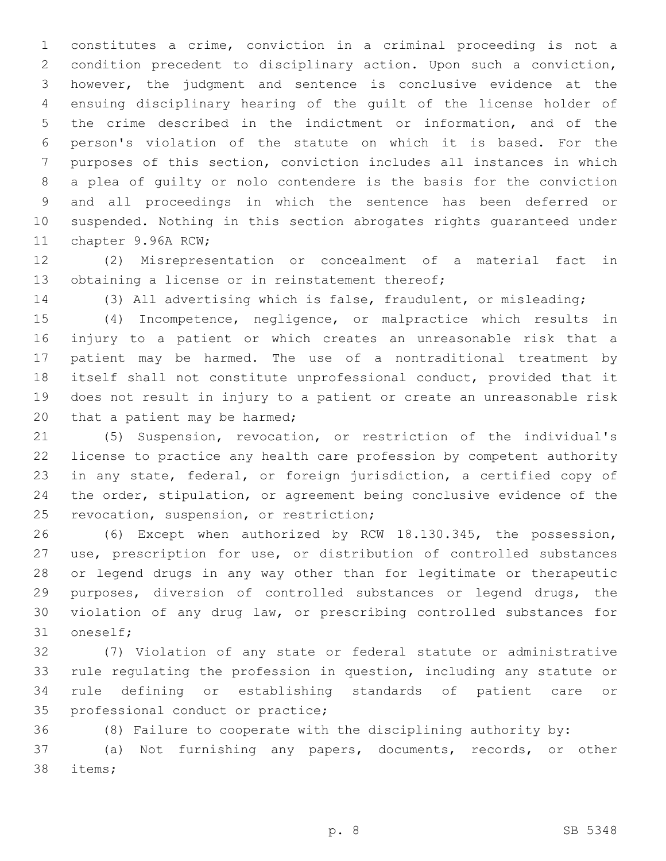constitutes a crime, conviction in a criminal proceeding is not a condition precedent to disciplinary action. Upon such a conviction, however, the judgment and sentence is conclusive evidence at the ensuing disciplinary hearing of the guilt of the license holder of the crime described in the indictment or information, and of the person's violation of the statute on which it is based. For the purposes of this section, conviction includes all instances in which a plea of guilty or nolo contendere is the basis for the conviction and all proceedings in which the sentence has been deferred or suspended. Nothing in this section abrogates rights guaranteed under 11 chapter 9.96A RCW;

 (2) Misrepresentation or concealment of a material fact in 13 obtaining a license or in reinstatement thereof;

(3) All advertising which is false, fraudulent, or misleading;

 (4) Incompetence, negligence, or malpractice which results in injury to a patient or which creates an unreasonable risk that a patient may be harmed. The use of a nontraditional treatment by itself shall not constitute unprofessional conduct, provided that it does not result in injury to a patient or create an unreasonable risk 20 that a patient may be harmed;

 (5) Suspension, revocation, or restriction of the individual's license to practice any health care profession by competent authority in any state, federal, or foreign jurisdiction, a certified copy of the order, stipulation, or agreement being conclusive evidence of the 25 revocation, suspension, or restriction;

 (6) Except when authorized by RCW 18.130.345, the possession, use, prescription for use, or distribution of controlled substances or legend drugs in any way other than for legitimate or therapeutic purposes, diversion of controlled substances or legend drugs, the violation of any drug law, or prescribing controlled substances for 31 oneself;

 (7) Violation of any state or federal statute or administrative rule regulating the profession in question, including any statute or rule defining or establishing standards of patient care or 35 professional conduct or practice;

 (8) Failure to cooperate with the disciplining authority by: (a) Not furnishing any papers, documents, records, or other

38 items;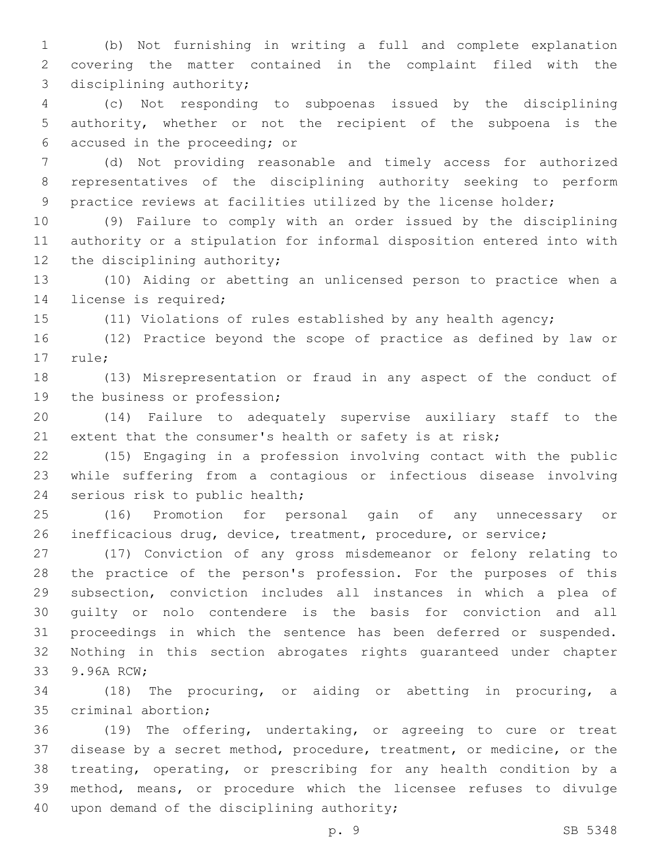(b) Not furnishing in writing a full and complete explanation covering the matter contained in the complaint filed with the 3 disciplining authority;

 (c) Not responding to subpoenas issued by the disciplining authority, whether or not the recipient of the subpoena is the 6 accused in the proceeding; or

 (d) Not providing reasonable and timely access for authorized representatives of the disciplining authority seeking to perform practice reviews at facilities utilized by the license holder;

 (9) Failure to comply with an order issued by the disciplining authority or a stipulation for informal disposition entered into with 12 the disciplining authority;

 (10) Aiding or abetting an unlicensed person to practice when a 14 license is required;

(11) Violations of rules established by any health agency;

 (12) Practice beyond the scope of practice as defined by law or 17 rule;

 (13) Misrepresentation or fraud in any aspect of the conduct of 19 the business or profession;

 (14) Failure to adequately supervise auxiliary staff to the 21 extent that the consumer's health or safety is at risk;

 (15) Engaging in a profession involving contact with the public while suffering from a contagious or infectious disease involving 24 serious risk to public health;

 (16) Promotion for personal gain of any unnecessary or inefficacious drug, device, treatment, procedure, or service;

 (17) Conviction of any gross misdemeanor or felony relating to the practice of the person's profession. For the purposes of this subsection, conviction includes all instances in which a plea of guilty or nolo contendere is the basis for conviction and all proceedings in which the sentence has been deferred or suspended. Nothing in this section abrogates rights guaranteed under chapter 33 9.96A RCW:

 (18) The procuring, or aiding or abetting in procuring, a 35 criminal abortion;

 (19) The offering, undertaking, or agreeing to cure or treat disease by a secret method, procedure, treatment, or medicine, or the treating, operating, or prescribing for any health condition by a method, means, or procedure which the licensee refuses to divulge 40 upon demand of the disciplining authority;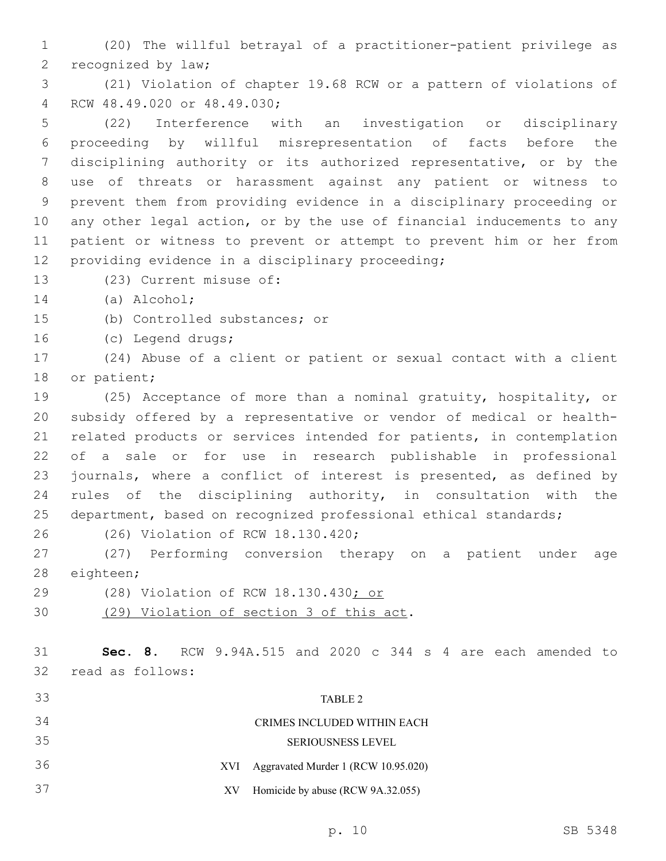(20) The willful betrayal of a practitioner-patient privilege as 2 recognized by law;

 (21) Violation of chapter 19.68 RCW or a pattern of violations of RCW 48.49.020 or 48.49.030;4

 (22) Interference with an investigation or disciplinary proceeding by willful misrepresentation of facts before the disciplining authority or its authorized representative, or by the use of threats or harassment against any patient or witness to prevent them from providing evidence in a disciplinary proceeding or any other legal action, or by the use of financial inducements to any patient or witness to prevent or attempt to prevent him or her from 12 providing evidence in a disciplinary proceeding;

13 (23) Current misuse of:

14 (a) Alcohol;

15 (b) Controlled substances; or

16 (c) Legend drugs;

 (24) Abuse of a client or patient or sexual contact with a client 18 or patient;

 (25) Acceptance of more than a nominal gratuity, hospitality, or subsidy offered by a representative or vendor of medical or health- related products or services intended for patients, in contemplation of a sale or for use in research publishable in professional journals, where a conflict of interest is presented, as defined by rules of the disciplining authority, in consultation with the department, based on recognized professional ethical standards;

26 (26) Violation of RCW 18.130.420;

 (27) Performing conversion therapy on a patient under age 28 eighteen;

- (28) Violation of RCW 18.130.430; or
- 30 (29) Violation of section 3 of this act.

 **Sec. 8.** RCW 9.94A.515 and 2020 c 344 s 4 are each amended to 32 read as follows:

| 33 | TABLE 2                                    |
|----|--------------------------------------------|
| 34 | CRIMES INCLUDED WITHIN EACH                |
| 35 | <b>SERIOUSNESS LEVEL</b>                   |
| 36 | Aggravated Murder 1 (RCW 10.95.020)<br>XVI |
| 37 | Homicide by abuse (RCW 9A.32.055)<br>XV.   |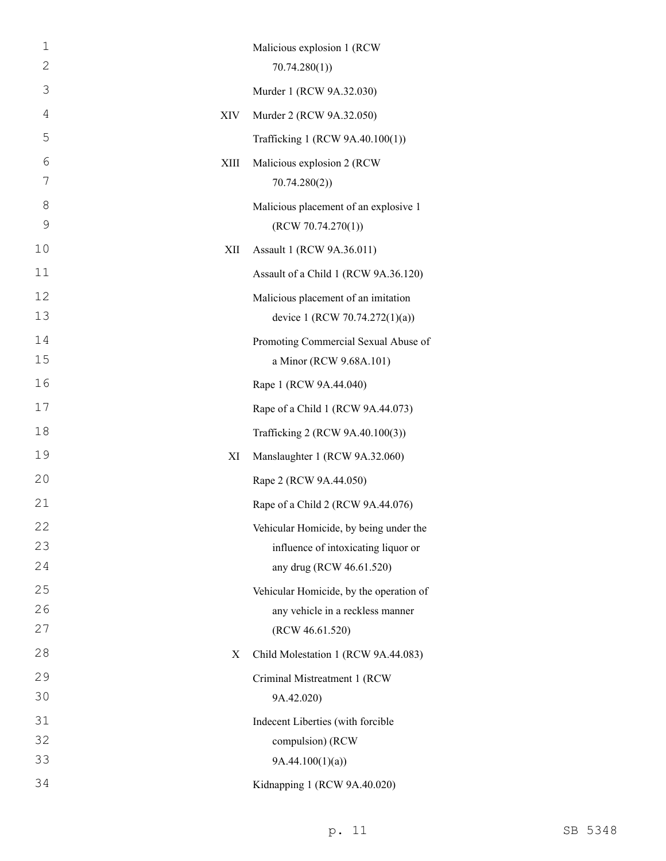| $\mathbf 1$    |      | Malicious explosion 1 (RCW              |
|----------------|------|-----------------------------------------|
| $\overline{2}$ |      | 70.74.280(1)                            |
| 3              |      | Murder 1 (RCW 9A.32.030)                |
| 4              | XIV  | Murder 2 (RCW 9A.32.050)                |
| 5              |      | Trafficking 1 (RCW 9A.40.100(1))        |
| 6              | XIII | Malicious explosion 2 (RCW              |
| 7              |      | 70.74.280(2)                            |
| 8              |      | Malicious placement of an explosive 1   |
| 9              |      | (RCW 70.74.270(1))                      |
| 10             | XІІ  | Assault 1 (RCW 9A.36.011)               |
| 11             |      | Assault of a Child 1 (RCW 9A.36.120)    |
| 12             |      | Malicious placement of an imitation     |
| 13             |      | device 1 (RCW 70.74.272(1)(a))          |
| 14             |      | Promoting Commercial Sexual Abuse of    |
| 15             |      | a Minor (RCW 9.68A.101)                 |
| 16             |      | Rape 1 (RCW 9A.44.040)                  |
| 17             |      | Rape of a Child 1 (RCW 9A.44.073)       |
| 18             |      | Trafficking 2 (RCW 9A.40.100(3))        |
| 19             | XI   | Manslaughter 1 (RCW 9A.32.060)          |
| 20             |      | Rape 2 (RCW 9A.44.050)                  |
| 21             |      | Rape of a Child 2 (RCW 9A.44.076)       |
| 22             |      | Vehicular Homicide, by being under the  |
| 23             |      | influence of intoxicating liquor or     |
| 24             |      | any drug (RCW 46.61.520)                |
| 25             |      | Vehicular Homicide, by the operation of |
| 26             |      | any vehicle in a reckless manner        |
| 27             |      | (RCW 46.61.520)                         |
| 28             | X    | Child Molestation 1 (RCW 9A.44.083)     |
| 29             |      | Criminal Mistreatment 1 (RCW            |
| 30             |      | 9A.42.020)                              |
| 31             |      | Indecent Liberties (with forcible       |
| 32<br>33       |      | compulsion) (RCW                        |
|                |      | 9A.44.100(1)(a)                         |
| 34             |      | Kidnapping 1 (RCW 9A.40.020)            |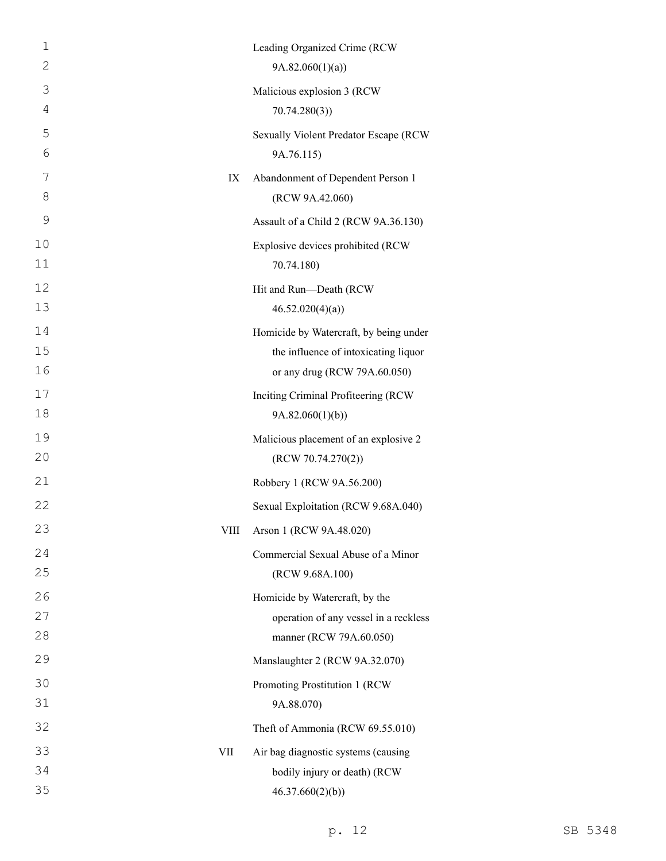| $\mathbf 1$    |             | Leading Organized Crime (RCW           |
|----------------|-------------|----------------------------------------|
| 2              |             | 9A.82.060(1)(a)                        |
| 3              |             | Malicious explosion 3 (RCW             |
| $\overline{4}$ |             | 70.74.280(3)                           |
| 5              |             | Sexually Violent Predator Escape (RCW  |
| 6              |             | 9A.76.115)                             |
| 7              | IX          | Abandonment of Dependent Person 1      |
| 8              |             | (RCW 9A.42.060)                        |
| 9              |             | Assault of a Child 2 (RCW 9A.36.130)   |
| 10             |             | Explosive devices prohibited (RCW      |
| 11             |             | 70.74.180)                             |
| 12             |             | Hit and Run-Death (RCW                 |
| 13             |             | 46.52.020(4)(a)                        |
| 14             |             | Homicide by Watercraft, by being under |
| 15             |             | the influence of intoxicating liquor   |
| 16             |             | or any drug (RCW 79A.60.050)           |
| 17             |             | Inciting Criminal Profiteering (RCW    |
| 18             |             | 9A.82.060(1)(b)                        |
| 19             |             | Malicious placement of an explosive 2  |
| 20             |             | (RCW 70.74.270(2))                     |
| 21             |             | Robbery 1 (RCW 9A.56.200)              |
| 22             |             | Sexual Exploitation (RCW 9.68A.040)    |
| 23             | <b>VIII</b> | Arson 1 (RCW 9A.48.020)                |
| 24             |             | Commercial Sexual Abuse of a Minor     |
| 25             |             | (RCW 9.68A.100)                        |
| 26             |             | Homicide by Watercraft, by the         |
| 27             |             | operation of any vessel in a reckless  |
| 28             |             | manner (RCW 79A.60.050)                |
| 29             |             | Manslaughter 2 (RCW 9A.32.070)         |
| 30             |             | Promoting Prostitution 1 (RCW          |
| 31             |             | 9A.88.070)                             |
| 32             |             | Theft of Ammonia (RCW 69.55.010)       |
| 33             | VII         | Air bag diagnostic systems (causing    |
| 34             |             | bodily injury or death) (RCW           |
| 35             |             | 46.37.660(2)(b)                        |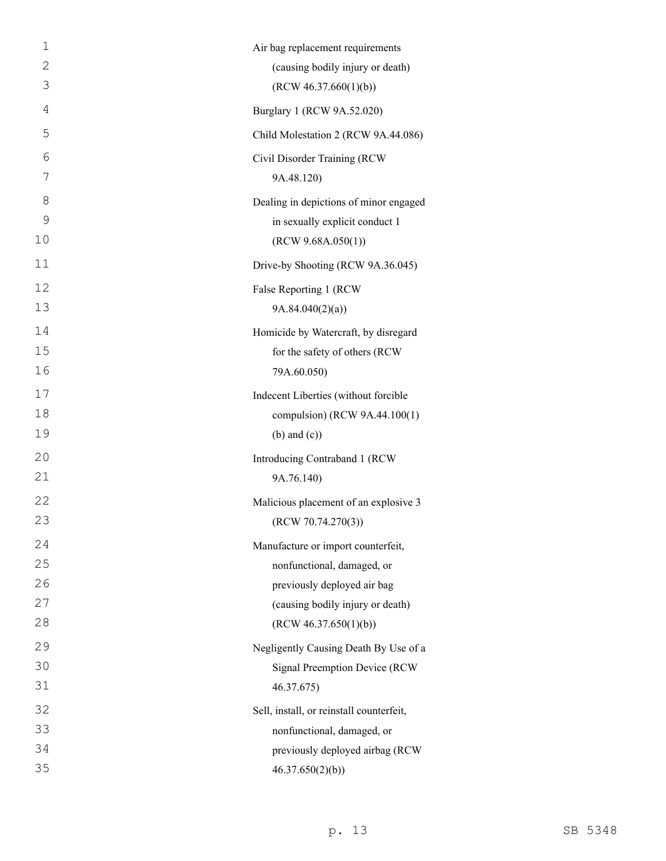| 1              | Air bag replacement requirements         |
|----------------|------------------------------------------|
| $\mathbf{2}$   | (causing bodily injury or death)         |
| 3              | (RCW 46.37.660(1)(b))                    |
| $\overline{4}$ | Burglary 1 (RCW 9A.52.020)               |
| 5              | Child Molestation 2 (RCW 9A.44.086)      |
| 6              | Civil Disorder Training (RCW             |
| 7              | 9A.48.120)                               |
| 8              | Dealing in depictions of minor engaged   |
| $\mathcal{G}$  | in sexually explicit conduct 1           |
| 10             | (RCW 9.68A.050(1))                       |
| 11             | Drive-by Shooting (RCW 9A.36.045)        |
| 12             | False Reporting 1 (RCW                   |
| 13             | 9A.84.040(2)(a)                          |
| 14             | Homicide by Watercraft, by disregard     |
| 15             | for the safety of others (RCW            |
| 16             | 79A.60.050)                              |
| 17             | Indecent Liberties (without forcible     |
| 18             | compulsion) (RCW 9A.44.100(1)            |
| 19             | $(b)$ and $(c)$ )                        |
| 20             | Introducing Contraband 1 (RCW            |
| 21             | 9A.76.140)                               |
| 22             | Malicious placement of an explosive 3    |
| 23             | (RCW 70.74.270(3))                       |
| 24             | Manufacture or import counterfeit,       |
| 25             | nonfunctional, damaged, or               |
| 26             | previously deployed air bag              |
| 27             | (causing bodily injury or death)         |
| 28             | (RCW 46.37.650(1)(b))                    |
| 29             | Negligently Causing Death By Use of a    |
| 30             | Signal Preemption Device (RCW            |
| 31             | 46.37.675)                               |
| 32             | Sell, install, or reinstall counterfeit, |
| 33             | nonfunctional, damaged, or               |
| 34             | previously deployed airbag (RCW          |
| 35             | 46.37.650(2)(b)                          |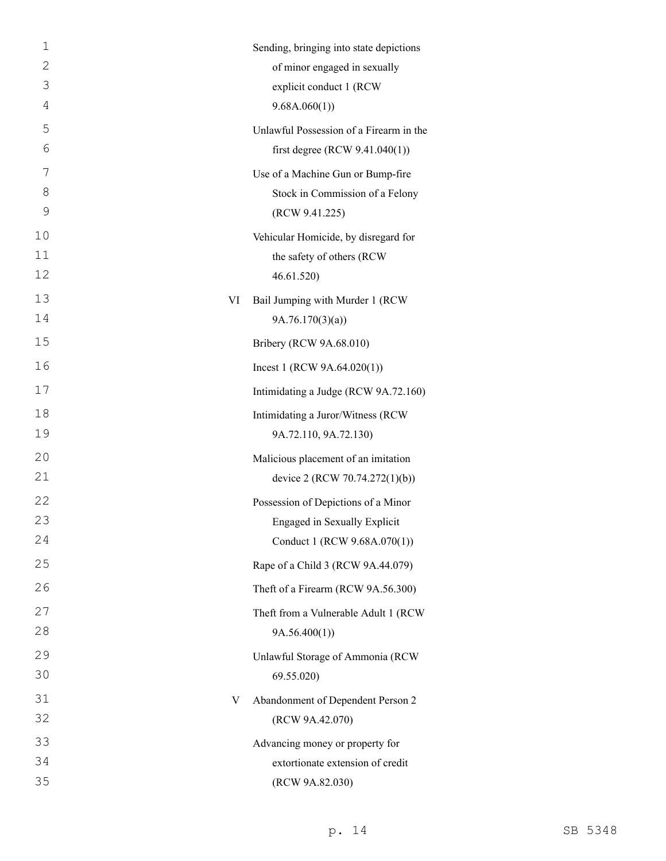| 1  |    | Sending, bringing into state depictions |
|----|----|-----------------------------------------|
| 2  |    | of minor engaged in sexually            |
| 3  |    | explicit conduct 1 (RCW                 |
| 4  |    | 9.68A.060(1)                            |
| 5  |    | Unlawful Possession of a Firearm in the |
| 6  |    | first degree (RCW $9.41.040(1)$ )       |
| 7  |    | Use of a Machine Gun or Bump-fire       |
| 8  |    | Stock in Commission of a Felony         |
| 9  |    | (RCW 9.41.225)                          |
| 10 |    | Vehicular Homicide, by disregard for    |
| 11 |    | the safety of others (RCW               |
| 12 |    | 46.61.520)                              |
| 13 | VI | Bail Jumping with Murder 1 (RCW         |
| 14 |    | 9A.76.170(3)(a)                         |
| 15 |    | Bribery (RCW 9A.68.010)                 |
| 16 |    | Incest 1 (RCW $9A.64.020(1)$ )          |
| 17 |    | Intimidating a Judge (RCW 9A.72.160)    |
| 18 |    | Intimidating a Juror/Witness (RCW       |
| 19 |    | 9A.72.110, 9A.72.130)                   |
| 20 |    | Malicious placement of an imitation     |
| 21 |    | device 2 (RCW 70.74.272(1)(b))          |
| 22 |    | Possession of Depictions of a Minor     |
| 23 |    | Engaged in Sexually Explicit            |
| 24 |    | Conduct 1 (RCW 9.68A.070(1))            |
| 25 |    | Rape of a Child 3 (RCW 9A.44.079)       |
| 26 |    | Theft of a Firearm (RCW 9A.56.300)      |
| 27 |    | Theft from a Vulnerable Adult 1 (RCW    |
| 28 |    | 9A.56.400(1)                            |
| 29 |    | Unlawful Storage of Ammonia (RCW        |
| 30 |    | 69.55.020                               |
| 31 | V  | Abandonment of Dependent Person 2       |
| 32 |    | (RCW 9A.42.070)                         |
| 33 |    | Advancing money or property for         |
| 34 |    | extortionate extension of credit        |
| 35 |    | (RCW 9A.82.030)                         |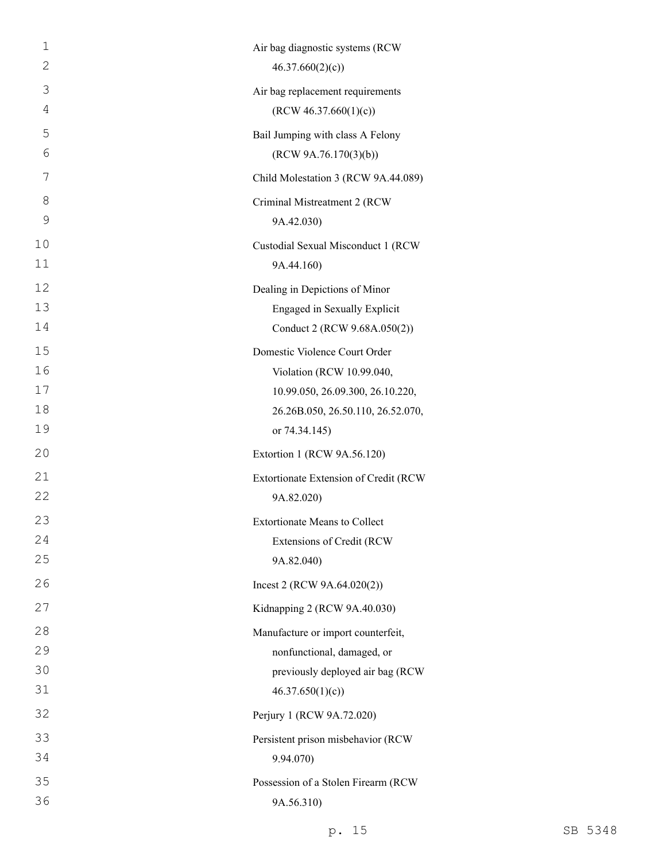| 1            | Air bag diagnostic systems (RCW       |
|--------------|---------------------------------------|
| $\mathbf{2}$ | 46.37.660(2)(c)                       |
| 3            | Air bag replacement requirements      |
| 4            | (RCW 46.37.660(1)(c))                 |
| 5            | Bail Jumping with class A Felony      |
| 6            | (RCW 9A.76.170(3)(b))                 |
| 7            | Child Molestation 3 (RCW 9A.44.089)   |
| 8            | Criminal Mistreatment 2 (RCW          |
| 9            | 9A.42.030)                            |
| 10           | Custodial Sexual Misconduct 1 (RCW    |
| 11           | 9A.44.160)                            |
| 12           | Dealing in Depictions of Minor        |
| 13           | Engaged in Sexually Explicit          |
| 14           | Conduct 2 (RCW 9.68A.050(2))          |
| 15           | Domestic Violence Court Order         |
| 16           | Violation (RCW 10.99.040,             |
| 17           | 10.99.050, 26.09.300, 26.10.220,      |
| 18           | 26.26B.050, 26.50.110, 26.52.070,     |
| 19           | or 74.34.145)                         |
| 20           | Extortion 1 (RCW 9A.56.120)           |
| 21           | Extortionate Extension of Credit (RCW |
| 22           | 9A.82.020)                            |
| 23           | <b>Extortionate Means to Collect</b>  |
| 24           | Extensions of Credit (RCW             |
| 25           | 9A.82.040)                            |
| 26           | Incest 2 (RCW $9A.64.020(2)$ )        |
| 27           | Kidnapping 2 (RCW 9A.40.030)          |
| 28           | Manufacture or import counterfeit,    |
| 29           | nonfunctional, damaged, or            |
| 30           | previously deployed air bag (RCW      |
| 31           | 46.37.650(1)(c)                       |
| 32           | Perjury 1 (RCW 9A.72.020)             |
| 33           | Persistent prison misbehavior (RCW    |
| 34           | 9.94.070)                             |
| 35           | Possession of a Stolen Firearm (RCW   |
| 36           | 9A.56.310)                            |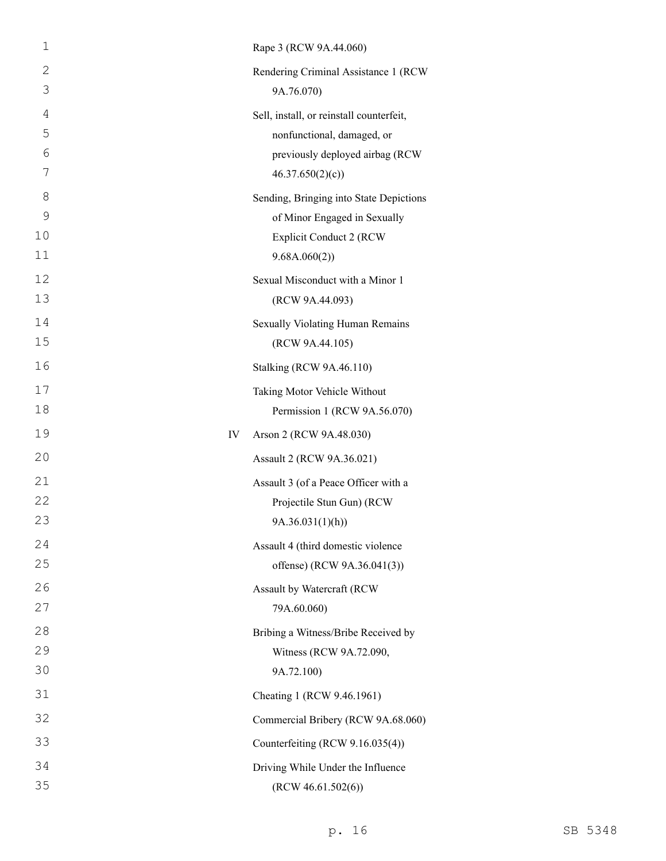| $\mathbf 1$    |    | Rape 3 (RCW 9A.44.060)                   |
|----------------|----|------------------------------------------|
| $\mathbf{2}$   |    | Rendering Criminal Assistance 1 (RCW     |
| 3              |    | 9A.76.070)                               |
| $\overline{4}$ |    | Sell, install, or reinstall counterfeit, |
| 5              |    | nonfunctional, damaged, or               |
| 6              |    | previously deployed airbag (RCW          |
| 7              |    | 46.37.650(2)(c)                          |
| 8              |    | Sending, Bringing into State Depictions  |
| 9              |    | of Minor Engaged in Sexually             |
| 10             |    | <b>Explicit Conduct 2 (RCW)</b>          |
| 11             |    | 9.68A.060(2))                            |
| 12             |    | Sexual Misconduct with a Minor 1         |
| 13             |    | (RCW 9A.44.093)                          |
| 14             |    | Sexually Violating Human Remains         |
| 15             |    | (RCW 9A.44.105)                          |
| 16             |    | Stalking (RCW 9A.46.110)                 |
| 17             |    | Taking Motor Vehicle Without             |
| 18             |    | Permission 1 (RCW 9A.56.070)             |
| 19             | IV | Arson 2 (RCW 9A.48.030)                  |
| 20             |    | Assault 2 (RCW 9A.36.021)                |
| 21             |    | Assault 3 (of a Peace Officer with a     |
| 22             |    | Projectile Stun Gun) (RCW                |
| 23             |    | 9A.36.031(1)(h))                         |
| 24             |    | Assault 4 (third domestic violence       |
| 25             |    | offense) (RCW 9A.36.041(3))              |
| 26             |    | Assault by Watercraft (RCW               |
| 27             |    | 79A.60.060)                              |
| 28             |    | Bribing a Witness/Bribe Received by      |
| 29             |    | Witness (RCW 9A.72.090,                  |
| 30             |    | 9A.72.100)                               |
| 31             |    | Cheating 1 (RCW 9.46.1961)               |
| 32             |    | Commercial Bribery (RCW 9A.68.060)       |
| 33             |    | Counterfeiting (RCW 9.16.035(4))         |
| 34             |    | Driving While Under the Influence        |
| 35             |    | (RCW 46.61.502(6))                       |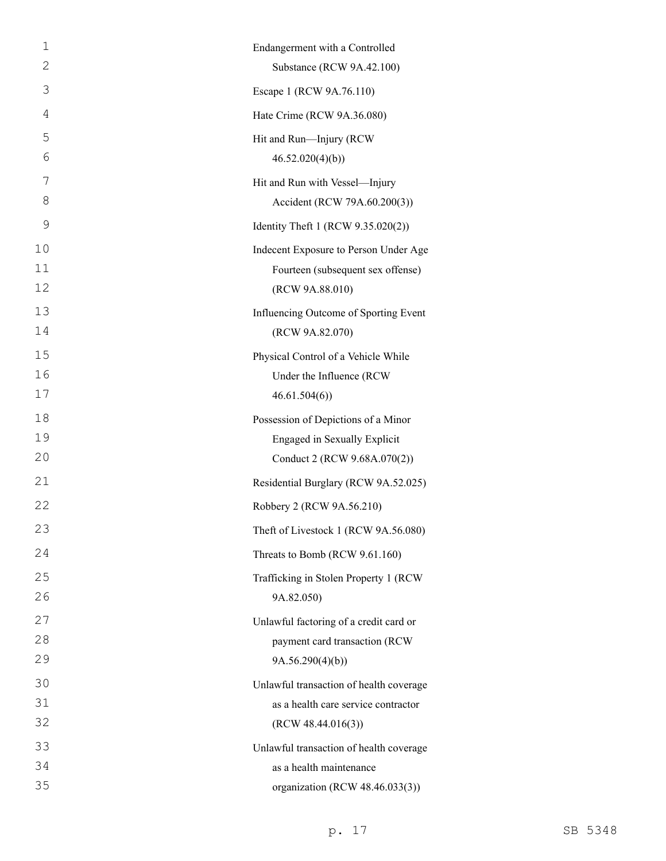| $\mathbf 1$ | Endangerment with a Controlled          |
|-------------|-----------------------------------------|
| 2           | Substance (RCW 9A.42.100)               |
| 3           | Escape 1 (RCW 9A.76.110)                |
| 4           | Hate Crime (RCW 9A.36.080)              |
| 5           | Hit and Run-Injury (RCW                 |
| 6           | 46.52.020(4)(b)                         |
| 7           | Hit and Run with Vessel-Injury          |
| 8           | Accident (RCW 79A.60.200(3))            |
| 9           | Identity Theft 1 (RCW 9.35.020(2))      |
| 10          | Indecent Exposure to Person Under Age   |
| 11          | Fourteen (subsequent sex offense)       |
| 12          | (RCW 9A.88.010)                         |
| 13          | Influencing Outcome of Sporting Event   |
| 14          | (RCW 9A.82.070)                         |
| 15          | Physical Control of a Vehicle While     |
| 16          | Under the Influence (RCW                |
| 17          | 46.61.504(6)                            |
| 18          | Possession of Depictions of a Minor     |
| 19<br>20    | <b>Engaged in Sexually Explicit</b>     |
|             | Conduct 2 (RCW 9.68A.070(2))            |
| 21          | Residential Burglary (RCW 9A.52.025)    |
| 22          | Robbery 2 (RCW 9A.56.210)               |
| 23          | Theft of Livestock 1 (RCW 9A.56.080)    |
| 24          | Threats to Bomb (RCW 9.61.160)          |
| 25          | Trafficking in Stolen Property 1 (RCW   |
| 26          | 9A.82.050)                              |
| 27          | Unlawful factoring of a credit card or  |
| 28          | payment card transaction (RCW           |
| 29          | 9A.56.290(4)(b)                         |
| 30          | Unlawful transaction of health coverage |
| 31          | as a health care service contractor     |
| 32          | (RCW 48.44.016(3))                      |
| 33          | Unlawful transaction of health coverage |
| 34<br>35    | as a health maintenance                 |
|             | organization (RCW 48.46.033(3))         |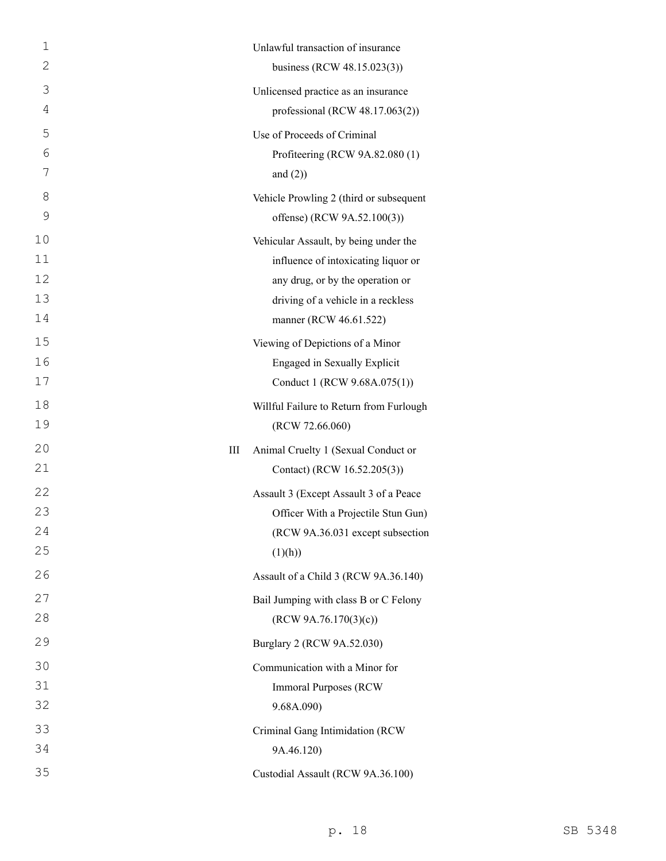| $\mathbf 1$ | Unlawful transaction of insurance                                |
|-------------|------------------------------------------------------------------|
| 2           | business (RCW 48.15.023(3))                                      |
| 3           | Unlicensed practice as an insurance                              |
| 4           | professional (RCW $48.17.063(2)$ )                               |
| 5           | Use of Proceeds of Criminal                                      |
| 6           | Profiteering (RCW 9A.82.080 (1)                                  |
| 7           | and $(2)$ )                                                      |
| 8           | Vehicle Prowling 2 (third or subsequent                          |
| 9           | offense) (RCW 9A.52.100(3))                                      |
| 10          | Vehicular Assault, by being under the                            |
| 11          | influence of intoxicating liquor or                              |
| 12          | any drug, or by the operation or                                 |
| 13<br>14    | driving of a vehicle in a reckless<br>manner (RCW 46.61.522)     |
| 15          |                                                                  |
| 16          | Viewing of Depictions of a Minor<br>Engaged in Sexually Explicit |
| 17          | Conduct 1 (RCW 9.68A.075(1))                                     |
| 18          | Willful Failure to Return from Furlough                          |
| 19          | (RCW 72.66.060)                                                  |
| 20          | Animal Cruelty 1 (Sexual Conduct or<br>Ш                         |
| 21          | Contact) (RCW 16.52.205(3))                                      |
| 22          | Assault 3 (Except Assault 3 of a Peace                           |
| 23          | Officer With a Projectile Stun Gun)                              |
| 24          | (RCW 9A.36.031 except subsection                                 |
| 25          | (1)(h))                                                          |
| 26          | Assault of a Child 3 (RCW 9A.36.140)                             |
| 27          | Bail Jumping with class B or C Felony                            |
| 28          | (RCW 9A.76.170(3)(c))                                            |
| 29          | Burglary 2 (RCW 9A.52.030)                                       |
| 30          | Communication with a Minor for                                   |
| 31          | <b>Immoral Purposes (RCW)</b>                                    |
| 32          | 9.68A.090)                                                       |
| 33          | Criminal Gang Intimidation (RCW                                  |
| 34          | 9A.46.120)                                                       |
| 35          | Custodial Assault (RCW 9A.36.100)                                |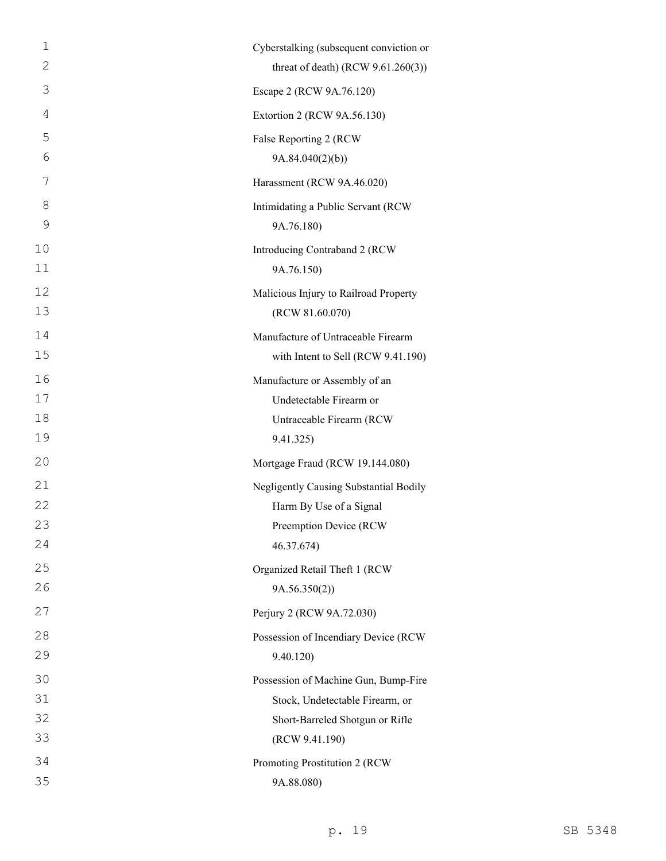| 1              | Cyberstalking (subsequent conviction or |
|----------------|-----------------------------------------|
| 2              | threat of death) (RCW $9.61.260(3)$ )   |
| 3              | Escape 2 (RCW 9A.76.120)                |
| $\overline{4}$ | Extortion 2 (RCW 9A.56.130)             |
| 5              | False Reporting 2 (RCW                  |
| 6              | 9A.84.040(2)(b)                         |
| 7              | Harassment (RCW 9A.46.020)              |
| 8              | Intimidating a Public Servant (RCW      |
| 9              | 9A.76.180)                              |
| 10             | Introducing Contraband 2 (RCW           |
| 11             | 9A.76.150)                              |
| 12             | Malicious Injury to Railroad Property   |
| 13             | (RCW 81.60.070)                         |
| 14             | Manufacture of Untraceable Firearm      |
| 15             | with Intent to Sell (RCW 9.41.190)      |
| 16             | Manufacture or Assembly of an           |
| 17             | Undetectable Firearm or                 |
| 18             | Untraceable Firearm (RCW                |
| 19             | 9.41.325)                               |
| 20             | Mortgage Fraud (RCW 19.144.080)         |
| 21             | Negligently Causing Substantial Bodily  |
| 22             | Harm By Use of a Signal                 |
| 23             | Preemption Device (RCW                  |
| 24             | 46.37.674)                              |
| 25             | Organized Retail Theft 1 (RCW           |
| 26             | 9A.56.350(2)                            |
| 27             | Perjury 2 (RCW 9A.72.030)               |
| 28             | Possession of Incendiary Device (RCW    |
| 29             | 9.40.120)                               |
| 30             | Possession of Machine Gun, Bump-Fire    |
| 31             | Stock, Undetectable Firearm, or         |
| 32             | Short-Barreled Shotgun or Rifle         |
| 33             | (RCW 9.41.190)                          |
| 34             | Promoting Prostitution 2 (RCW           |
| 35             | 9A.88.080)                              |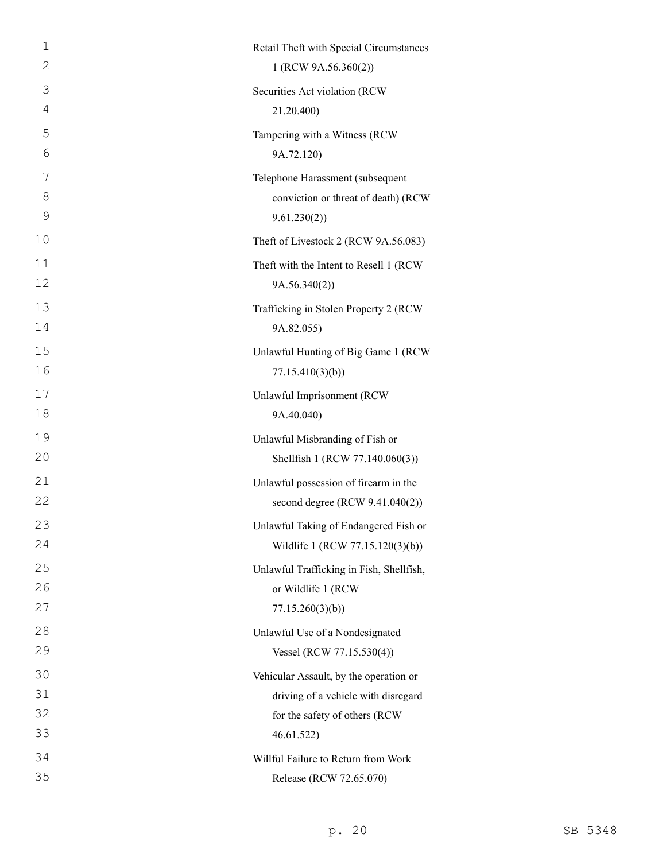| $\mathbf 1$  | Retail Theft with Special Circumstances  |
|--------------|------------------------------------------|
| $\mathbf{2}$ | 1 (RCW 9A.56.360(2))                     |
| 3            | Securities Act violation (RCW            |
| 4            | 21.20.400)                               |
| 5            | Tampering with a Witness (RCW            |
| 6            | 9A.72.120)                               |
| 7            | Telephone Harassment (subsequent         |
| 8            | conviction or threat of death) (RCW      |
| 9            | 9.61.230(2)                              |
| 10           | Theft of Livestock 2 (RCW 9A.56.083)     |
| 11           | Theft with the Intent to Resell 1 (RCW   |
| 12           | 9A.56.340(2))                            |
| 13           | Trafficking in Stolen Property 2 (RCW    |
| 14           | 9A.82.055)                               |
| 15           | Unlawful Hunting of Big Game 1 (RCW      |
| 16           | 77.15.410(3)(b)                          |
| 17           | Unlawful Imprisonment (RCW               |
| 18           | 9A.40.040)                               |
| 19           | Unlawful Misbranding of Fish or          |
| 20           | Shellfish 1 (RCW 77.140.060(3))          |
| 21           | Unlawful possession of firearm in the    |
| 22           | second degree (RCW 9.41.040(2))          |
| 23           | Unlawful Taking of Endangered Fish or    |
| 24           | Wildlife 1 (RCW 77.15.120(3)(b))         |
| 25           | Unlawful Trafficking in Fish, Shellfish, |
| 26           | or Wildlife 1 (RCW                       |
| 27           | 77.15.260(3)(b))                         |
| 28           | Unlawful Use of a Nondesignated          |
| 29           | Vessel (RCW 77.15.530(4))                |
| 30           | Vehicular Assault, by the operation or   |
| 31           | driving of a vehicle with disregard      |
| 32           | for the safety of others (RCW            |
| 33           | 46.61.522                                |
| 34           | Willful Failure to Return from Work      |
| 35           | Release (RCW 72.65.070)                  |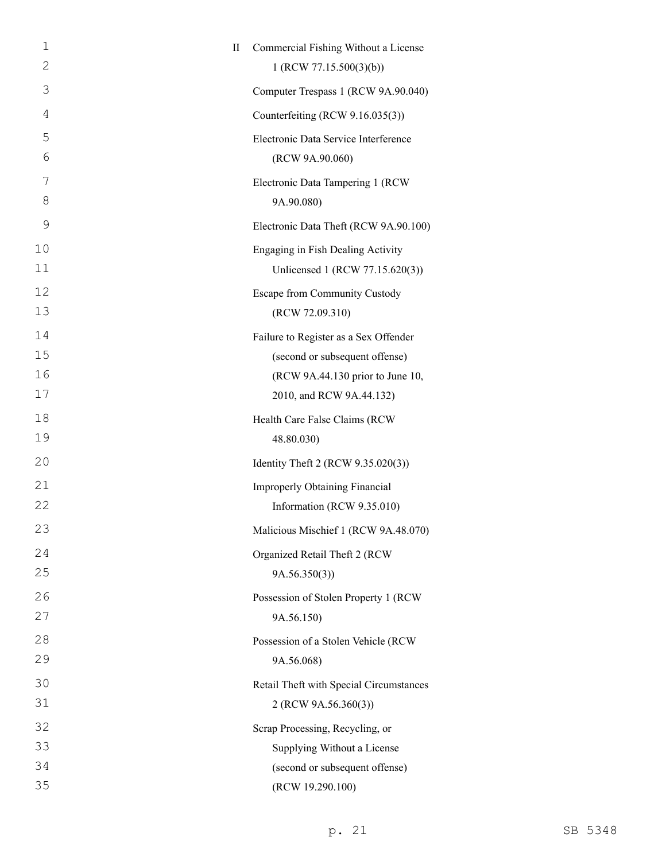| $\mathbf{1}$   | $\rm II$ | Commercial Fishing Without a License                                |
|----------------|----------|---------------------------------------------------------------------|
| 2              |          | 1 (RCW 77.15.500(3)(b))                                             |
| 3              |          | Computer Trespass 1 (RCW 9A.90.040)                                 |
| $\overline{4}$ |          | Counterfeiting (RCW 9.16.035(3))                                    |
| 5              |          | Electronic Data Service Interference                                |
| 6              |          | (RCW 9A.90.060)                                                     |
| 7              |          | Electronic Data Tampering 1 (RCW                                    |
| 8              |          | 9A.90.080)                                                          |
| 9              |          | Electronic Data Theft (RCW 9A.90.100)                               |
| 10             |          | Engaging in Fish Dealing Activity                                   |
| 11             |          | Unlicensed 1 (RCW 77.15.620(3))                                     |
| 12             |          | <b>Escape from Community Custody</b>                                |
| 13             |          | (RCW 72.09.310)                                                     |
| 14             |          | Failure to Register as a Sex Offender                               |
| 15             |          | (second or subsequent offense)                                      |
| 16<br>17       |          | (RCW 9A.44.130 prior to June 10,                                    |
|                |          | 2010, and RCW 9A.44.132)                                            |
| 18<br>19       |          | Health Care False Claims (RCW<br>48.80.030)                         |
| 20             |          |                                                                     |
|                |          | Identity Theft 2 (RCW 9.35.020(3))                                  |
| 21<br>22       |          | <b>Improperly Obtaining Financial</b><br>Information (RCW 9.35.010) |
| 23             |          |                                                                     |
|                |          | Malicious Mischief 1 (RCW 9A.48.070)                                |
| 24<br>25       |          | Organized Retail Theft 2 (RCW                                       |
| 26             |          | 9A.56.350(3)                                                        |
| 27             |          | Possession of Stolen Property 1 (RCW<br>9A.56.150)                  |
| 28             |          | Possession of a Stolen Vehicle (RCW                                 |
| 29             |          | 9A.56.068)                                                          |
| 30             |          | Retail Theft with Special Circumstances                             |
| 31             |          | 2 (RCW 9A.56.360(3))                                                |
| 32             |          | Scrap Processing, Recycling, or                                     |
| 33             |          | Supplying Without a License                                         |
| 34             |          | (second or subsequent offense)                                      |
| 35             |          | (RCW 19.290.100)                                                    |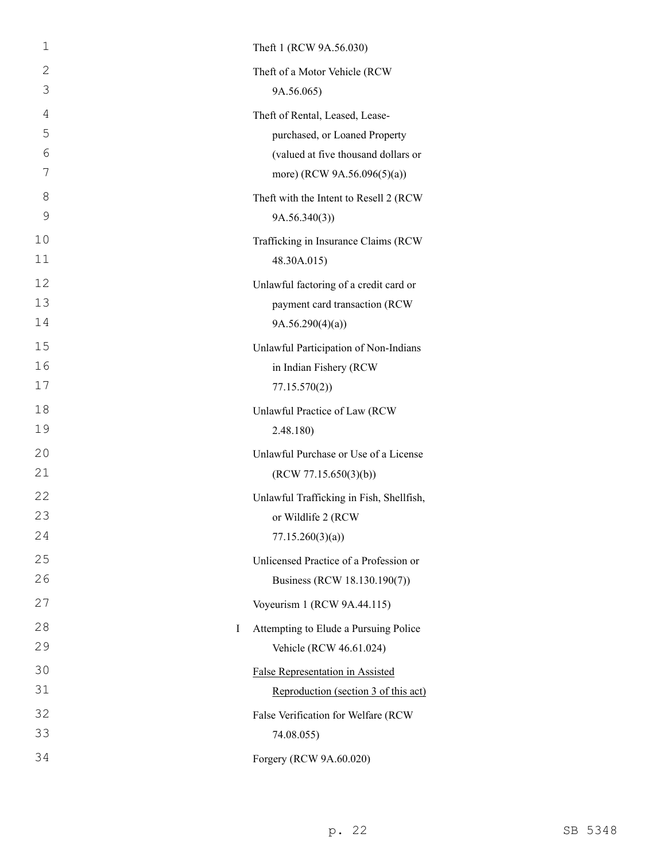| $\mathbf 1$ | Theft 1 (RCW 9A.56.030)                  |
|-------------|------------------------------------------|
| 2           | Theft of a Motor Vehicle (RCW            |
| 3           | 9A.56.065)                               |
| 4           | Theft of Rental, Leased, Lease-          |
| 5           | purchased, or Loaned Property            |
| 6           | (valued at five thousand dollars or      |
| 7           | more) (RCW 9A.56.096(5)(a))              |
| 8           | Theft with the Intent to Resell 2 (RCW   |
| 9           | 9A.56.340(3)                             |
| 10          | Trafficking in Insurance Claims (RCW     |
| 11          | 48.30A.015)                              |
| 12          | Unlawful factoring of a credit card or   |
| 13          | payment card transaction (RCW            |
| 14          | 9A.56.290(4)(a)                          |
| 15          | Unlawful Participation of Non-Indians    |
| 16          | in Indian Fishery (RCW                   |
| 17          | 77.15.570(2)                             |
| 18          | Unlawful Practice of Law (RCW            |
| 19          | 2.48.180)                                |
| 20          | Unlawful Purchase or Use of a License    |
| 21          | (RCW 77.15.650(3)(b))                    |
| 22          | Unlawful Trafficking in Fish, Shellfish, |
| 23          | or Wildlife 2 (RCW                       |
| 24          | 77.15.260(3)(a)                          |
| 25          | Unlicensed Practice of a Profession or   |
| 26          | Business (RCW 18.130.190(7))             |
| 27          | Voyeurism 1 (RCW 9A.44.115)              |
| 28<br>I     | Attempting to Elude a Pursuing Police    |
| 29          | Vehicle (RCW 46.61.024)                  |
| 30          | False Representation in Assisted         |
| 31          | Reproduction (section 3 of this act)     |
| 32          | False Verification for Welfare (RCW      |
| 33          | 74.08.055)                               |
| 34          | Forgery (RCW 9A.60.020)                  |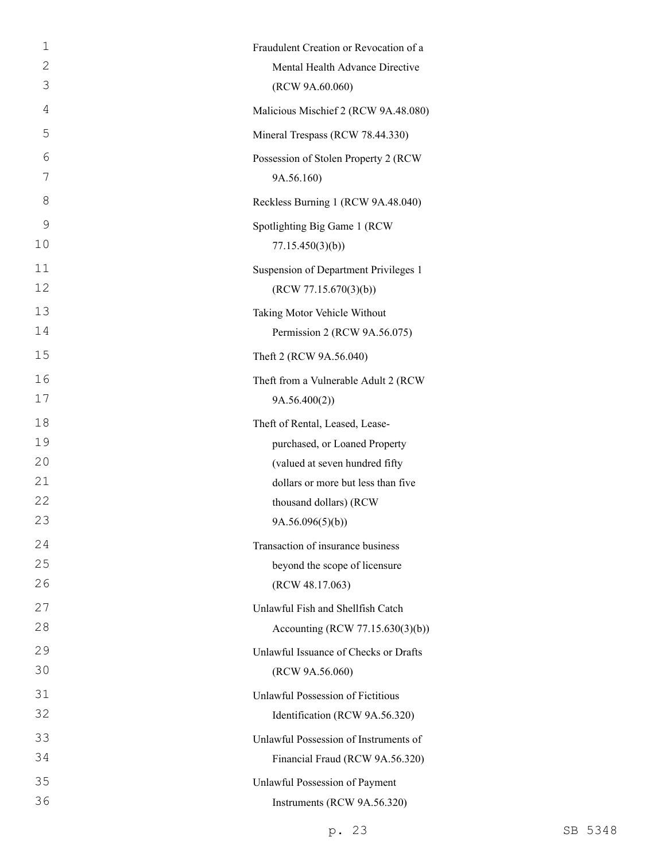| 1  | Fraudulent Creation or Revocation of a |
|----|----------------------------------------|
| 2  | Mental Health Advance Directive        |
| 3  | (RCW 9A.60.060)                        |
| 4  | Malicious Mischief 2 (RCW 9A.48.080)   |
| 5  | Mineral Trespass (RCW 78.44.330)       |
| 6  | Possession of Stolen Property 2 (RCW)  |
| 7  | 9A.56.160)                             |
| 8  | Reckless Burning 1 (RCW 9A.48.040)     |
| 9  | Spotlighting Big Game 1 (RCW           |
| 10 | 77.15.450(3)(b)                        |
| 11 | Suspension of Department Privileges 1  |
| 12 | (RCW 77.15.670(3)(b))                  |
| 13 | Taking Motor Vehicle Without           |
| 14 | Permission 2 (RCW 9A.56.075)           |
| 15 | Theft 2 (RCW 9A.56.040)                |
| 16 | Theft from a Vulnerable Adult 2 (RCW   |
| 17 | 9A.56.400(2)                           |
| 18 | Theft of Rental, Leased, Lease-        |
| 19 | purchased, or Loaned Property          |
| 20 | (valued at seven hundred fifty         |
| 21 | dollars or more but less than five     |
| 22 | thousand dollars) (RCW                 |
| 23 | 9A.56.096(5)(b))                       |
| 24 | Transaction of insurance business      |
| 25 | beyond the scope of licensure          |
| 26 | (RCW 48.17.063)                        |
| 27 | Unlawful Fish and Shellfish Catch      |
| 28 | Accounting (RCW 77.15.630(3)(b))       |
| 29 | Unlawful Issuance of Checks or Drafts  |
| 30 | (RCW 9A.56.060)                        |
| 31 | Unlawful Possession of Fictitious      |
| 32 | Identification (RCW 9A.56.320)         |
| 33 | Unlawful Possession of Instruments of  |
| 34 | Financial Fraud (RCW 9A.56.320)        |
| 35 | Unlawful Possession of Payment         |
| 36 | Instruments (RCW 9A.56.320)            |